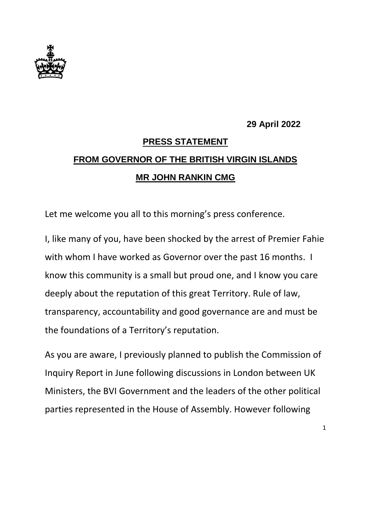

## **29 April 2022**

## **PRESS STATEMENT FROM GOVERNOR OF THE BRITISH VIRGIN ISLANDS MR JOHN RANKIN CMG**

Let me welcome you all to this morning's press conference.

I, like many of you, have been shocked by the arrest of Premier Fahie with whom I have worked as Governor over the past 16 months. I know this community is a small but proud one, and I know you care deeply about the reputation of this great Territory. Rule of law, transparency, accountability and good governance are and must be the foundations of a Territory's reputation.

As you are aware, I previously planned to publish the Commission of Inquiry Report in June following discussions in London between UK Ministers, the BVI Government and the leaders of the other political parties represented in the House of Assembly. However following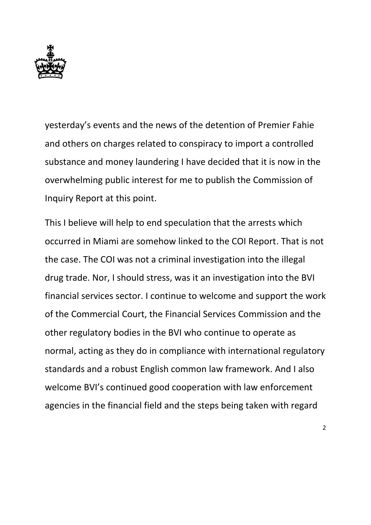

yesterday's events and the news of the detention of Premier Fahie and others on charges related to conspiracy to import a controlled substance and money laundering I have decided that it is now in the overwhelming public interest for me to publish the Commission of Inquiry Report at this point.

This I believe will help to end speculation that the arrests which occurred in Miami are somehow linked to the COI Report. That is not the case. The COI was not a criminal investigation into the illegal drug trade. Nor, I should stress, was it an investigation into the BVI financial services sector. I continue to welcome and support the work of the Commercial Court, the Financial Services Commission and the other regulatory bodies in the BVI who continue to operate as normal, acting as they do in compliance with international regulatory standards and a robust English common law framework. And I also welcome BVI's continued good cooperation with law enforcement agencies in the financial field and the steps being taken with regard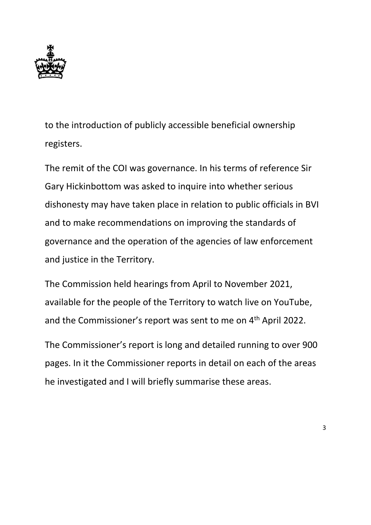

to the introduction of publicly accessible beneficial ownership registers.

The remit of the COI was governance. In his terms of reference Sir Gary Hickinbottom was asked to inquire into whether serious dishonesty may have taken place in relation to public officials in BVI and to make recommendations on improving the standards of governance and the operation of the agencies of law enforcement and justice in the Territory.

The Commission held hearings from April to November 2021, available for the people of the Territory to watch live on YouTube, and the Commissioner's report was sent to me on 4<sup>th</sup> April 2022.

The Commissioner's report is long and detailed running to over 900 pages. In it the Commissioner reports in detail on each of the areas he investigated and I will briefly summarise these areas.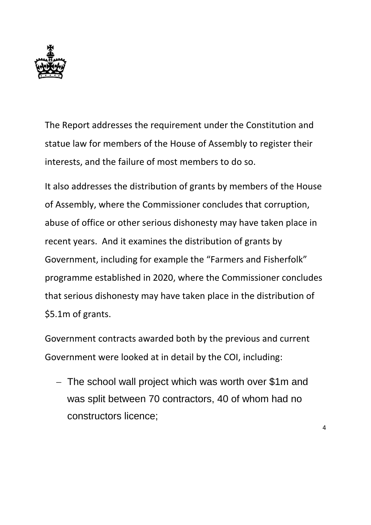

The Report addresses the requirement under the Constitution and statue law for members of the House of Assembly to register their interests, and the failure of most members to do so.

It also addresses the distribution of grants by members of the House of Assembly, where the Commissioner concludes that corruption, abuse of office or other serious dishonesty may have taken place in recent years. And it examines the distribution of grants by Government, including for example the "Farmers and Fisherfolk" programme established in 2020, where the Commissioner concludes that serious dishonesty may have taken place in the distribution of \$5.1m of grants.

Government contracts awarded both by the previous and current Government were looked at in detail by the COI, including:

- The school wall project which was worth over \$1m and was split between 70 contractors, 40 of whom had no constructors licence;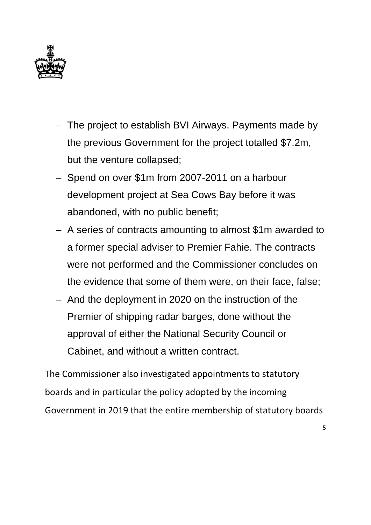

- The project to establish BVI Airways. Payments made by the previous Government for the project totalled \$7.2m, but the venture collapsed;
- Spend on over \$1m from 2007-2011 on a harbour development project at Sea Cows Bay before it was abandoned, with no public benefit;
- A series of contracts amounting to almost \$1m awarded to a former special adviser to Premier Fahie. The contracts were not performed and the Commissioner concludes on the evidence that some of them were, on their face, false;
- And the deployment in 2020 on the instruction of the Premier of shipping radar barges, done without the approval of either the National Security Council or Cabinet, and without a written contract.

The Commissioner also investigated appointments to statutory boards and in particular the policy adopted by the incoming Government in 2019 that the entire membership of statutory boards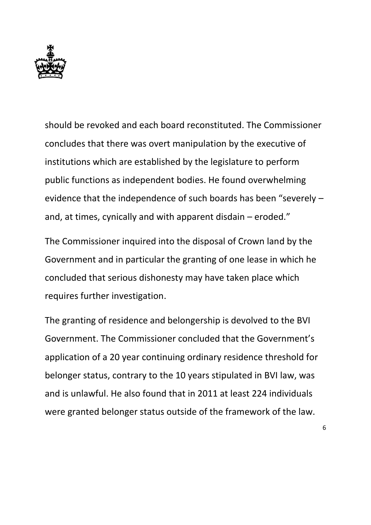

should be revoked and each board reconstituted. The Commissioner concludes that there was overt manipulation by the executive of institutions which are established by the legislature to perform public functions as independent bodies. He found overwhelming evidence that the independence of such boards has been "severely – and, at times, cynically and with apparent disdain – eroded."

The Commissioner inquired into the disposal of Crown land by the Government and in particular the granting of one lease in which he concluded that serious dishonesty may have taken place which requires further investigation.

The granting of residence and belongership is devolved to the BVI Government. The Commissioner concluded that the Government's application of a 20 year continuing ordinary residence threshold for belonger status, contrary to the 10 years stipulated in BVI law, was and is unlawful. He also found that in 2011 at least 224 individuals were granted belonger status outside of the framework of the law.

6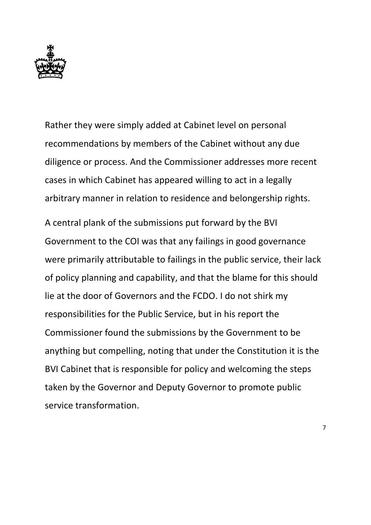

Rather they were simply added at Cabinet level on personal recommendations by members of the Cabinet without any due diligence or process. And the Commissioner addresses more recent cases in which Cabinet has appeared willing to act in a legally arbitrary manner in relation to residence and belongership rights.

A central plank of the submissions put forward by the BVI Government to the COI was that any failings in good governance were primarily attributable to failings in the public service, their lack of policy planning and capability, and that the blame for this should lie at the door of Governors and the FCDO. I do not shirk my responsibilities for the Public Service, but in his report the Commissioner found the submissions by the Government to be anything but compelling, noting that under the Constitution it is the BVI Cabinet that is responsible for policy and welcoming the steps taken by the Governor and Deputy Governor to promote public service transformation.

7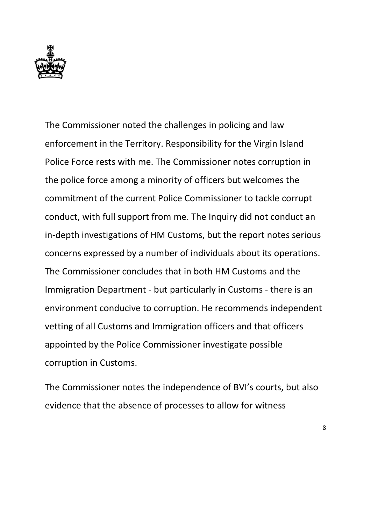

The Commissioner noted the challenges in policing and law enforcement in the Territory. Responsibility for the Virgin Island Police Force rests with me. The Commissioner notes corruption in the police force among a minority of officers but welcomes the commitment of the current Police Commissioner to tackle corrupt conduct, with full support from me. The Inquiry did not conduct an in-depth investigations of HM Customs, but the report notes serious concerns expressed by a number of individuals about its operations. The Commissioner concludes that in both HM Customs and the Immigration Department - but particularly in Customs - there is an environment conducive to corruption. He recommends independent vetting of all Customs and Immigration officers and that officers appointed by the Police Commissioner investigate possible corruption in Customs.

The Commissioner notes the independence of BVI's courts, but also evidence that the absence of processes to allow for witness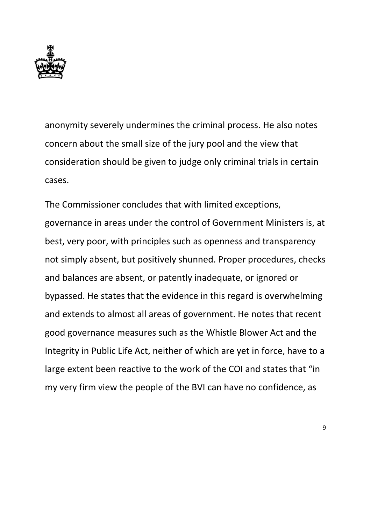

anonymity severely undermines the criminal process. He also notes concern about the small size of the jury pool and the view that consideration should be given to judge only criminal trials in certain cases.

The Commissioner concludes that with limited exceptions, governance in areas under the control of Government Ministers is, at best, very poor, with principles such as openness and transparency not simply absent, but positively shunned. Proper procedures, checks and balances are absent, or patently inadequate, or ignored or bypassed. He states that the evidence in this regard is overwhelming and extends to almost all areas of government. He notes that recent good governance measures such as the Whistle Blower Act and the Integrity in Public Life Act, neither of which are yet in force, have to a large extent been reactive to the work of the COI and states that "in my very firm view the people of the BVI can have no confidence, as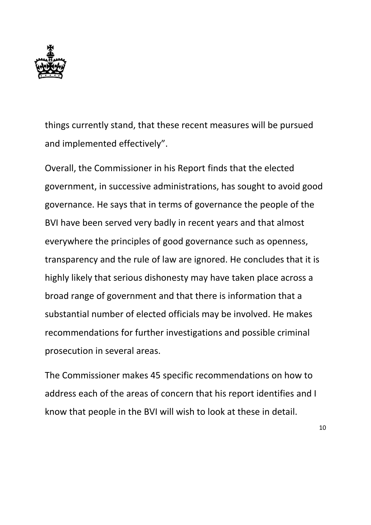

things currently stand, that these recent measures will be pursued and implemented effectively".

Overall, the Commissioner in his Report finds that the elected government, in successive administrations, has sought to avoid good governance. He says that in terms of governance the people of the BVI have been served very badly in recent years and that almost everywhere the principles of good governance such as openness, transparency and the rule of law are ignored. He concludes that it is highly likely that serious dishonesty may have taken place across a broad range of government and that there is information that a substantial number of elected officials may be involved. He makes recommendations for further investigations and possible criminal prosecution in several areas.

The Commissioner makes 45 specific recommendations on how to address each of the areas of concern that his report identifies and I know that people in the BVI will wish to look at these in detail.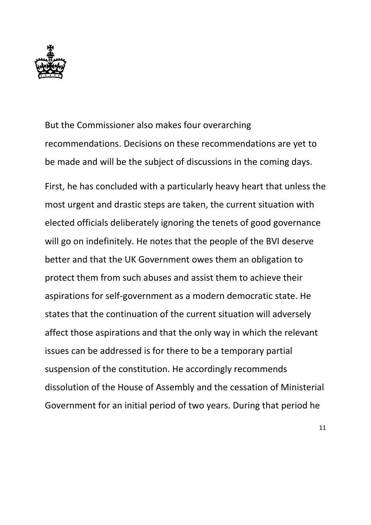

But the Commissioner also makes four overarching recommendations. Decisions on these recommendations are yet to be made and will be the subject of discussions in the coming days.

First, he has concluded with a particularly heavy heart that unless the most urgent and drastic steps are taken, the current situation with elected officials deliberately ignoring the tenets of good governance will go on indefinitely. He notes that the people of the BVI deserve better and that the UK Government owes them an obligation to protect them from such abuses and assist them to achieve their aspirations for self-government as a modern democratic state. He states that the continuation of the current situation will adversely affect those aspirations and that the only way in which the relevant issues can be addressed is for there to be a temporary partial suspension of the constitution. He accordingly recommends dissolution of the House of Assembly and the cessation of Ministerial Government for an initial period of two years. During that period he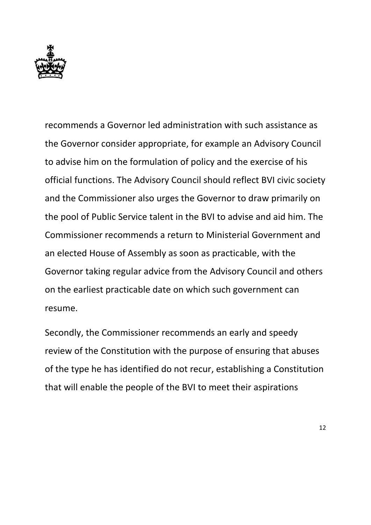

recommends a Governor led administration with such assistance as the Governor consider appropriate, for example an Advisory Council to advise him on the formulation of policy and the exercise of his official functions. The Advisory Council should reflect BVI civic society and the Commissioner also urges the Governor to draw primarily on the pool of Public Service talent in the BVI to advise and aid him. The Commissioner recommends a return to Ministerial Government and an elected House of Assembly as soon as practicable, with the Governor taking regular advice from the Advisory Council and others on the earliest practicable date on which such government can resume.

Secondly, the Commissioner recommends an early and speedy review of the Constitution with the purpose of ensuring that abuses of the type he has identified do not recur, establishing a Constitution that will enable the people of the BVI to meet their aspirations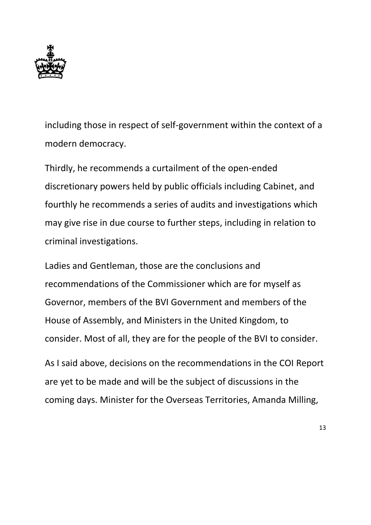

including those in respect of self-government within the context of a modern democracy.

Thirdly, he recommends a curtailment of the open-ended discretionary powers held by public officials including Cabinet, and fourthly he recommends a series of audits and investigations which may give rise in due course to further steps, including in relation to criminal investigations.

Ladies and Gentleman, those are the conclusions and recommendations of the Commissioner which are for myself as Governor, members of the BVI Government and members of the House of Assembly, and Ministers in the United Kingdom, to consider. Most of all, they are for the people of the BVI to consider.

As I said above, decisions on the recommendations in the COI Report are yet to be made and will be the subject of discussions in the coming days. Minister for the Overseas Territories, Amanda Milling,